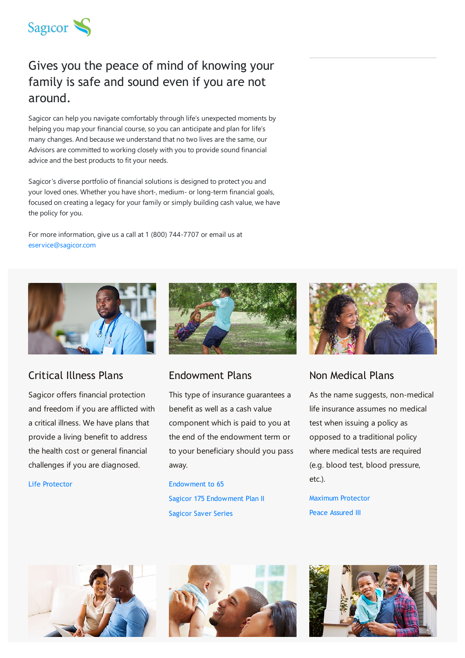

# Gives you the peace of mind of knowing your family is safe and sound even if you are not around.

Sagicor can help you navigate comfortably through life's unexpected moments by helping you map your financial course, so you can anticipate and plan for life's many changes. And because we understand that no two lives are the same, our Advisors are committed to working closely with you to provide sound financial advice and the best products to fit your needs.

Sagicor's diverse portfolio of financial solutions is designed to protect you and your loved ones. Whether you have short-, medium- or long-term financial goals, focused on creating a legacy for your family or simply building cash value, we have the policy for you.

For more information, give us a call at 1 (800) 744-7707 or email us at [eservice@sagicor.com](mailto:eservice@sagicor.com?subject=Life%20Insurance%20Queries)



#### Critical Illness Plans

Sagicor offers financial protection and freedom if you are afflicted with a critical illness. We have plans that provide a living benefit to address the health cost or general financial challenges if you are diagnosed.

Life [Protector](https://www.sagicor.com/en-VC/Personal-Solutions/Insurance/Life-Insurance/Critical-Illness/Life-Protector-III)



#### Endowment Plans

This type of insurance guarantees a benefit as well as a cash value component which is paid to you at the end of the endowment term or to your beneficiary should you pass away.

[Endowment](https://www.sagicor.com/en-VC/Personal-Solutions/Insurance/Life-Insurance/Endowment/Endowment-to-65) to 65 Sagicor 175 [Endowment](https://www.sagicor.com/en-VC/Personal-Solutions/Insurance/Life-Insurance/Endowment/Sagicor-175-Endowment-Plan-II) Plan II [Sagicor](https://www.sagicor.com/en-VC/Personal-Solutions/Insurance/Life-Insurance/Endowment/Sagicor-Saver-Series) Saver Series



# Non Medical Plans

As the name suggests, non-medical life insurance assumes no medical test when issuing a policy as opposed to a traditional policy where medical tests are required (e.g. blood test, blood pressure, etc.).

Maximum [Protector](https://www.sagicor.com/en-VC/Personal-Solutions/Insurance/Life-Insurance/Non-Medical-Plans/Maximum-Protector) Peace [Assured](https://www.sagicor.com/en-VC/Personal-Solutions/Insurance/Life-Insurance/Non-Medical-Plans/Peace-Assured-III) III